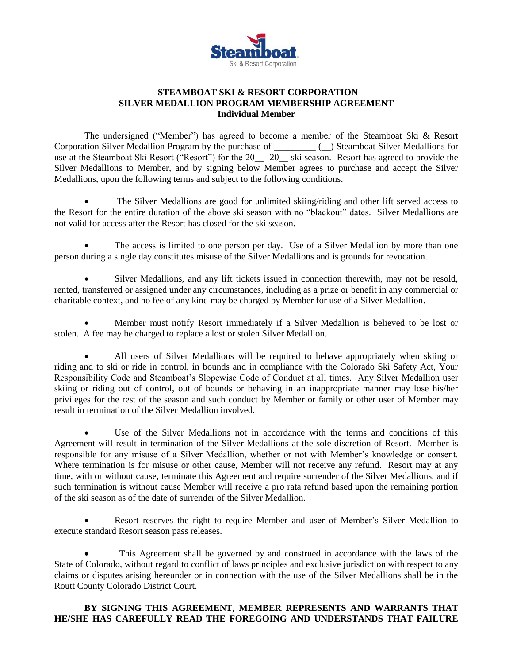

## **STEAMBOAT SKI & RESORT CORPORATION SILVER MEDALLION PROGRAM MEMBERSHIP AGREEMENT Individual Member**

The undersigned ("Member") has agreed to become a member of the Steamboat Ski & Resort Corporation Silver Medallion Program by the purchase of \_\_\_\_\_\_\_\_\_ (\_\_) Steamboat Silver Medallions for use at the Steamboat Ski Resort ("Resort") for the 20<sup>-- 20</sup> ski season. Resort has agreed to provide the Silver Medallions to Member, and by signing below Member agrees to purchase and accept the Silver Medallions, upon the following terms and subject to the following conditions.

• The Silver Medallions are good for unlimited skiing/riding and other lift served access to the Resort for the entire duration of the above ski season with no "blackout" dates. Silver Medallions are not valid for access after the Resort has closed for the ski season.

 The access is limited to one person per day. Use of a Silver Medallion by more than one person during a single day constitutes misuse of the Silver Medallions and is grounds for revocation.

 Silver Medallions, and any lift tickets issued in connection therewith, may not be resold, rented, transferred or assigned under any circumstances, including as a prize or benefit in any commercial or charitable context, and no fee of any kind may be charged by Member for use of a Silver Medallion.

 Member must notify Resort immediately if a Silver Medallion is believed to be lost or stolen. A fee may be charged to replace a lost or stolen Silver Medallion.

 All users of Silver Medallions will be required to behave appropriately when skiing or riding and to ski or ride in control, in bounds and in compliance with the Colorado Ski Safety Act, Your Responsibility Code and Steamboat's Slopewise Code of Conduct at all times. Any Silver Medallion user skiing or riding out of control, out of bounds or behaving in an inappropriate manner may lose his/her privileges for the rest of the season and such conduct by Member or family or other user of Member may result in termination of the Silver Medallion involved.

 Use of the Silver Medallions not in accordance with the terms and conditions of this Agreement will result in termination of the Silver Medallions at the sole discretion of Resort. Member is responsible for any misuse of a Silver Medallion, whether or not with Member's knowledge or consent. Where termination is for misuse or other cause, Member will not receive any refund. Resort may at any time, with or without cause, terminate this Agreement and require surrender of the Silver Medallions, and if such termination is without cause Member will receive a pro rata refund based upon the remaining portion of the ski season as of the date of surrender of the Silver Medallion.

 Resort reserves the right to require Member and user of Member's Silver Medallion to execute standard Resort season pass releases.

 This Agreement shall be governed by and construed in accordance with the laws of the State of Colorado, without regard to conflict of laws principles and exclusive jurisdiction with respect to any claims or disputes arising hereunder or in connection with the use of the Silver Medallions shall be in the Routt County Colorado District Court.

## **BY SIGNING THIS AGREEMENT, MEMBER REPRESENTS AND WARRANTS THAT HE/SHE HAS CAREFULLY READ THE FOREGOING AND UNDERSTANDS THAT FAILURE**